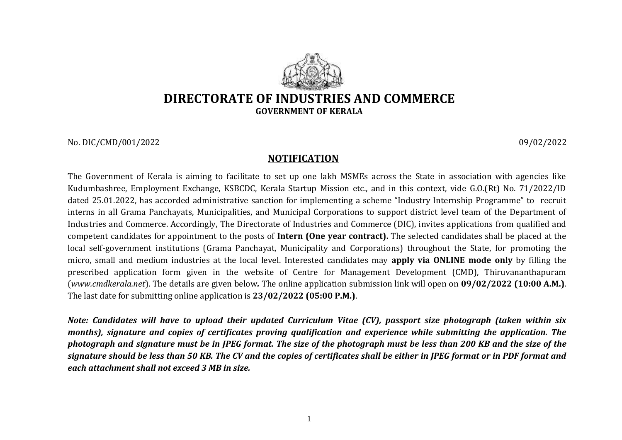

No. DIC/CMD/001/2022 09/02/2022

## **NOTIFICATION**

The Government of Kerala is aiming to facilitate to set up one lakh MSMEs across the State in association with agencies like Kudumbashree, Employment Exchange, KSBCDC, Kerala Startup Mission etc., and in this context, vide G.O.(Rt) No. 71/2022/ID dated 25.01.2022, has accorded administrative sanction for implementing a scheme "Industry Internship Programme" to recruit interns in all Grama Panchayats, Municipalities, and Municipal Corporations to support district level team of the Department of Industries and Commerce. Accordingly, The Directorate of Industries and Commerce (DIC), invites applications from qualified and competent candidates for appointment to the posts of **Intern (One year contract).** The selected candidates shall be placed at the local self-government institutions (Grama Panchayat, Municipality and Corporations) throughout the State, for promoting the micro, small and medium industries at the local level. Interested candidates may **apply via ONLINE mode only** by filling the prescribed application form given in the website of Centre for Management Development (CMD), Thiruvananthapuram (*[www.cmdkerala.net](about:blank)*). The details are given below*.* The online application submission link will open on **09/02/2022 (10:00 A.M.)**. The last date for submitting online application is **23/02/2022 (05:00 P.M.)**.

*Note: Candidates will have to upload their updated Curriculum Vitae (CV), passport size photograph (taken within six months), signature and copies of certificates proving qualification and experience while submitting the application. The*  photograph and signature must be in JPEG format. The size of the photograph must be less than 200 KB and the size of the *signature should be less than 50 KB. The CV and the copies of certificates shall be either in JPEG format or in PDF format and each attachment shall not exceed 3 MB in size.*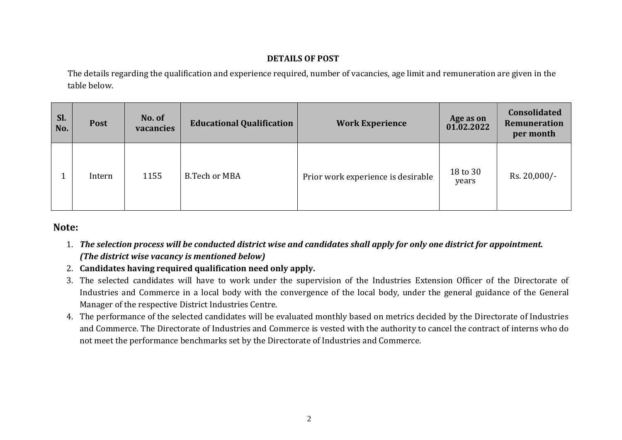## **DETAILS OF POST**

The details regarding the qualification and experience required, number of vacancies, age limit and remuneration are given in the table below.

| Sl.<br>No. | <b>Post</b> | No. of<br>vacancies | <b>Educational Qualification</b> | <b>Work Experience</b>             | Age as on<br>01.02.2022 | <b>Consolidated</b><br>Remuneration<br>per month |
|------------|-------------|---------------------|----------------------------------|------------------------------------|-------------------------|--------------------------------------------------|
|            | Intern      | 1155                | <b>B.Tech or MBA</b>             | Prior work experience is desirable | 18 to 30<br>years       | $Rs. 20,000/-$                                   |

## **Note:**

- 1. *The selection process will be conducted district wise and candidates shall apply for only one district for appointment. (The district wise vacancy is mentioned below)*
- 2. **Candidates having required qualification need only apply.**
- 3. The selected candidates will have to work under the supervision of the Industries Extension Officer of the Directorate of Industries and Commerce in a local body with the convergence of the local body, under the general guidance of the General Manager of the respective District Industries Centre.
- 4. The performance of the selected candidates will be evaluated monthly based on metrics decided by the Directorate of Industries and Commerce. The Directorate of Industries and Commerce is vested with the authority to cancel the contract of interns who do not meet the performance benchmarks set by the Directorate of Industries and Commerce.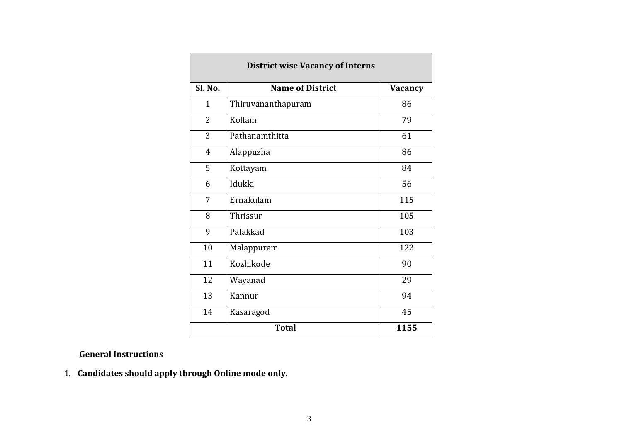| <b>District wise Vacancy of Interns</b> |                         |                |  |  |  |
|-----------------------------------------|-------------------------|----------------|--|--|--|
| Sl. No.                                 | <b>Name of District</b> | <b>Vacancy</b> |  |  |  |
| $\mathbf{1}$                            | Thiruvananthapuram      | 86             |  |  |  |
| 2                                       | Kollam                  | 79             |  |  |  |
| 3                                       | Pathanamthitta          | 61             |  |  |  |
| $\overline{4}$                          | Alappuzha               | 86             |  |  |  |
| 5                                       | Kottayam                | 84             |  |  |  |
| 6                                       | Idukki                  | 56             |  |  |  |
| 7                                       | Ernakulam               | 115            |  |  |  |
| 8                                       | Thrissur                | 105            |  |  |  |
| 9                                       | Palakkad                | 103            |  |  |  |
| 10                                      | Malappuram              | 122            |  |  |  |
| 11                                      | Kozhikode               | 90             |  |  |  |
| 12                                      | Wayanad                 | 29             |  |  |  |
| 13                                      | Kannur                  | 94             |  |  |  |
| 14                                      | Kasaragod               | 45             |  |  |  |
|                                         | <b>Total</b>            | 1155           |  |  |  |

## **General Instructions**

1. **Candidates should apply through Online mode only.**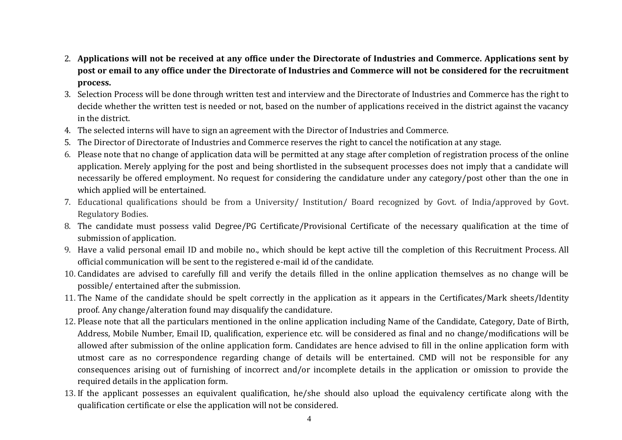- 2. **Applications will not be received at any office under the Directorate of Industries and Commerce. Applications sent by post or email to any office under the Directorate of Industries and Commerce will not be considered for the recruitment process.**
- 3. Selection Process will be done through written test and interview and the Directorate of Industries and Commerce has the right to decide whether the written test is needed or not, based on the number of applications received in the district against the vacancy in the district.
- 4. The selected interns will have to sign an agreement with the Director of Industries and Commerce.
- 5. The Director of Directorate of Industries and Commerce reserves the right to cancel the notification at any stage.
- 6. Please note that no change of application data will be permitted at any stage after completion of registration process of the online application. Merely applying for the post and being shortlisted in the subsequent processes does not imply that a candidate will necessarily be offered employment. No request for considering the candidature under any category/post other than the one in which applied will be entertained.
- 7. Educational qualifications should be from a University/ Institution/ Board recognized by Govt. of India/approved by Govt. Regulatory Bodies.
- 8. The candidate must possess valid Degree/PG Certificate/Provisional Certificate of the necessary qualification at the time of submission of application.
- 9. Have a valid personal email ID and mobile no., which should be kept active till the completion of this Recruitment Process. All official communication will be sent to the registered e-mail id of the candidate.
- 10. Candidates are advised to carefully fill and verify the details filled in the online application themselves as no change will be possible/ entertained after the submission.
- 11. The Name of the candidate should be spelt correctly in the application as it appears in the Certificates/Mark sheets/Identity proof. Any change/alteration found may disqualify the candidature.
- 12. Please note that all the particulars mentioned in the online application including Name of the Candidate, Category, Date of Birth, Address, Mobile Number, Email ID, qualification, experience etc. will be considered as final and no change/modifications will be allowed after submission of the online application form. Candidates are hence advised to fill in the online application form with utmost care as no correspondence regarding change of details will be entertained. CMD will not be responsible for any consequences arising out of furnishing of incorrect and/or incomplete details in the application or omission to provide the required details in the application form.
- 13. If the applicant possesses an equivalent qualification, he/she should also upload the equivalency certificate along with the qualification certificate or else the application will not be considered.